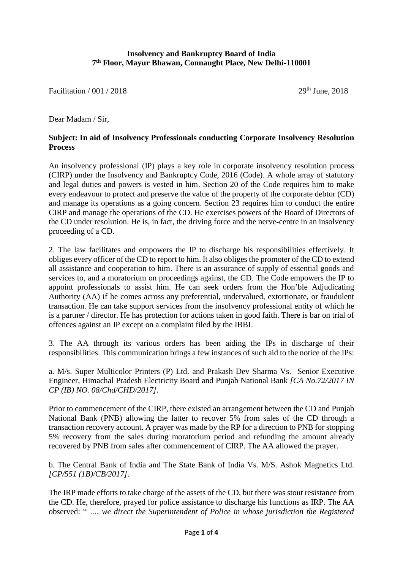## **Insolvency and Bankruptcy Board of India 7 th Floor, Mayur Bhawan, Connaught Place, New Delhi-110001**

Facilitation / 001 / 2018 29th June, 2018

Dear Madam / Sir,

## **Subject: In aid of Insolvency Professionals conducting Corporate Insolvency Resolution Process**

An insolvency professional (IP) plays a key role in corporate insolvency resolution process (CIRP) under the Insolvency and Bankruptcy Code, 2016 (Code). A whole array of statutory and legal duties and powers is vested in him. Section 20 of the Code requires him to make every endeavour to protect and preserve the value of the property of the corporate debtor (CD) and manage its operations as a going concern. Section 23 requires him to conduct the entire CIRP and manage the operations of the CD. He exercises powers of the Board of Directors of the CD under resolution. He is, in fact, the driving force and the nerve-centre in an insolvency proceeding of a CD.

2. The law facilitates and empowers the IP to discharge his responsibilities effectively. It obliges every officer of the CD to report to him. It also obliges the promoter of the CD to extend all assistance and cooperation to him. There is an assurance of supply of essential goods and services to, and a moratorium on proceedings against, the CD. The Code empowers the IP to appoint professionals to assist him. He can seek orders from the Hon'ble Adjudicating Authority (AA) if he comes across any preferential, undervalued, extortionate, or fraudulent transaction. He can take support services from the insolvency professional entity of which he is a partner / director. He has protection for actions taken in good faith. There is bar on trial of offences against an IP except on a complaint filed by the IBBI.

3. The AA through its various orders has been aiding the IPs in discharge of their responsibilities. This communication brings a few instances of such aid to the notice of the IPs:

a. M/s. Super Multicolor Printers (P) Ltd. and Prakash Dev Sharma Vs. Senior Executive Engineer, Himachal Pradesh Electricity Board and Punjab National Bank *[CA No.72/2017 IN CP (IB) NO. 08/Chd/CHD/2017].*

Prior to commencement of the CIRP, there existed an arrangement between the CD and Punjab National Bank (PNB) allowing the latter to recover 5% from sales of the CD through a transaction recovery account. A prayer was made by the RP for a direction to PNB for stopping 5% recovery from the sales during moratorium period and refunding the amount already recovered by PNB from sales after commencement of CIRP. The AA allowed the prayer.

b. The Central Bank of India and The State Bank of India Vs. M/S. Ashok Magnetics Ltd. *[CP/551 (1B)/CB/2017].*

The IRP made efforts to take charge of the assets of the CD, but there was stout resistance from the CD. He, therefore, prayed for police assistance to discharge his functions as IRP. The AA observed: " *…, we direct the Superintendent of Police in whose jurisdiction the Registered*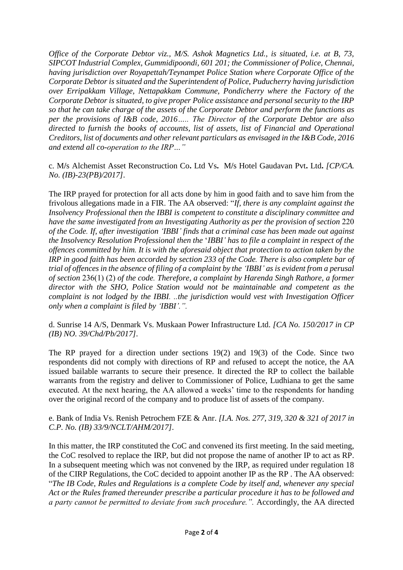*Office of the Corporate Debtor viz., M/S. Ashok Magnetics Ltd., is situated, i.e. at B, 73, SIPCOT Industrial Complex, Gummidipoondi, 601 201; the Commissioner of Police, Chennai, having jurisdiction over Royapettah/Teynampet Police Station where Corporate Office of the Corporate Debtor is situated and the Superintendent of Police, Puducherry having jurisdiction over Erripakkam Village, Nettapakkam Commune, Pondicherry where the Factory of the Corporate Debtor is situated, to give proper Police assistance and personal security to the IRP so that he can take charge of the assets of the Corporate Debtor and perform the functions as per the provisions of I&B code, 2016….. The Director of the Corporate Debtor are also directed to furnish the books of accounts, list of assets, list of Financial and Operational Creditors, list of documents and other relevant particulars as envisaged in the I&B Code, 2016 and extend all co-operation to the IRP…"*

c. M**/**s Alchemist Asset Reconstruction Co**.** Ltd Vs**.** M**/**s Hotel Gaudavan Pvt**.** Ltd**.** *[CP/CA. No. (IB)-23(PB)/2017].*

The IRP prayed for protection for all acts done by him in good faith and to save him from the frivolous allegations made in a FIR. The AA observed: "*If, there is any complaint against the Insolvency Professional then the IBBI is competent to constitute a disciplinary committee and have the same investigated from an Investigating Authority as per the provision of section* 220 *of the Code. If, after investigation 'IBBI' finds that a criminal case has been made out against the Insolvency Resolution Professional then the* '*IBBI' has to file a complaint in respect of the offences committed by him. It is with the aforesaid object that protection to action taken by the IRP in good faith has been accorded by section 233 of the Code. There is also complete bar of trial of offences in the absence of filing of a complaint by the 'IBBI' as is evident from a perusal of section* 236(1) (2) *of the code. Therefore, a complaint by Harenda Singh Rathore, a former director with the SHO, Police Station would not be maintainable and competent as the complaint is not lodged by the IBBI. ..the jurisdiction would vest with Investigation Officer only when a complaint is filed by 'IBBI'.".*

d. Sunrise 14 A/S, Denmark Vs. Muskaan Power Infrastructure Ltd. *[CA No. 150/2017 in CP (IB) NO. 39/Chd/Pb/2017].*

The RP prayed for a direction under sections 19(2) and 19(3) of the Code. Since two respondents did not comply with directions of RP and refused to accept the notice, the AA issued bailable warrants to secure their presence. It directed the RP to collect the bailable warrants from the registry and deliver to Commissioner of Police, Ludhiana to get the same executed. At the next hearing, the AA allowed a weeks' time to the respondents for handing over the original record of the company and to produce list of assets of the company.

e. Bank of India Vs. Renish Petrochem FZE & Anr. *[I.A. Nos. 277, 319, 320 & 321 of 2017 in C.P. No. (IB) 33/9/NCLT/AHM/2017].*

In this matter, the IRP constituted the CoC and convened its first meeting. In the said meeting, the CoC resolved to replace the IRP, but did not propose the name of another IP to act as RP. In a subsequent meeting which was not convened by the IRP, as required under regulation 18 of the CIRP Regulations, the CoC decided to appoint another IP as the RP . The AA observed: "*The IB Code, Rules and Regulations is a complete Code by itself and, whenever any special Act or the Rules framed thereunder prescribe a particular procedure it has to be followed and a party cannot be permitted to deviate from such procedure.".* Accordingly, the AA directed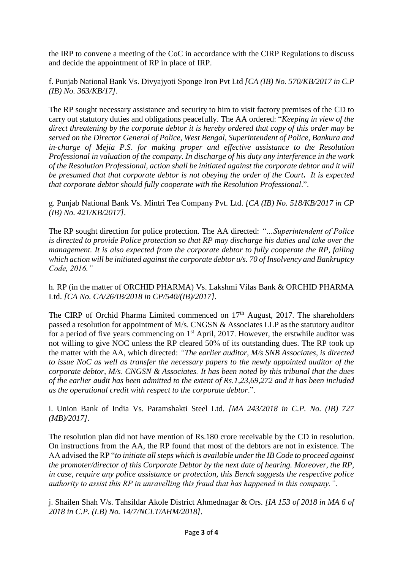the IRP to convene a meeting of the CoC in accordance with the CIRP Regulations to discuss and decide the appointment of RP in place of IRP.

f. Punjab National Bank Vs. Divyajyoti Sponge Iron Pvt Ltd *[CA (IB) No. 570/KB/2017 in C.P (IB) No. 363/KB/17].*

The RP sought necessary assistance and security to him to visit factory premises of the CD to carry out statutory duties and obligations peacefully. The AA ordered: "*Keeping in view of the direct threatening by the corporate debtor it is hereby ordered that copy of this order may be served on the Director General of Police, West Bengal, Superintendent of Police, Bankura and in*-*charge of Mejia P*.*S*. *for making proper and effective assistance to the Resolution Professional in valuation of the company*. *In discharge of his duty any interference in the work of the Resolution Professional, action shall be initiated against the corporate debtor and it will be presumed that that corporate debtor is not obeying the order of the Court***.** *It is expected that corporate debtor should fully cooperate with the Resolution Professional*.".

g. Punjab National Bank Vs. Mintri Tea Company Pvt. Ltd. *[CA (IB) No. 518/KB/2017 in CP (IB) No. 421/KB/2017].*

The RP sought direction for police protection. The AA directed: *"…Superintendent of Police is directed to provide Police protection so that RP may discharge his duties and take over the management. It is also expected from the corporate debtor to fully cooperate the RP, failing which action will be initiated against the corporate debtor u/s. 70 of Insolvency and Bankruptcy Code, 2016."*

h. RP (in the matter of ORCHID PHARMA) Vs. Lakshmi Vilas Bank & ORCHID PHARMA Ltd. *[CA No. CA/26/IB/2018 in CP/540/(IB)/2017].*

The CIRP of Orchid Pharma Limited commenced on  $17<sup>th</sup>$  August, 2017. The shareholders passed a resolution for appointment of M/s. CNGSN & Associates LLP as the statutory auditor for a period of five years commencing on  $1<sup>st</sup>$  April, 2017. However, the erstwhile auditor was not willing to give NOC unless the RP cleared 50% of its outstanding dues. The RP took up the matter with the AA, which directed: *"The earlier auditor, M/s SNB Associates, is directed to issue NoC as well as transfer the necessary papers to the newly appointed auditor of the corporate debtor, M/s. CNGSN & Associates. It has been noted by this tribunal that the dues of the earlier audit has been admitted to the extent of Rs.1,23,69,272 and it has been included as the operational credit with respect to the corporate debtor*.".

i. Union Bank of India Vs. Paramshakti Steel Ltd. *[MA 243/2018 in C.P. No. (IB) 727 (MB)/2017].*

The resolution plan did not have mention of Rs.180 crore receivable by the CD in resolution. On instructions from the AA, the RP found that most of the debtors are not in existence. The AA advised the RP "*to initiate all steps which is available under the IB Code to proceed against the promoter/director of this Corporate Debtor by the next date of hearing. Moreover, the RP, in case, require any police assistance or protection, this Bench suggests the respective police authority to assist this RP in unravelling this fraud that has happened in this company.".*

j. Shailen Shah V/s. Tahsildar Akole District Ahmednagar & Ors. *[IA 153 of 2018 in MA 6 of 2018 in C.P. (I.B) No. 14/7/NCLT/AHM/2018].*